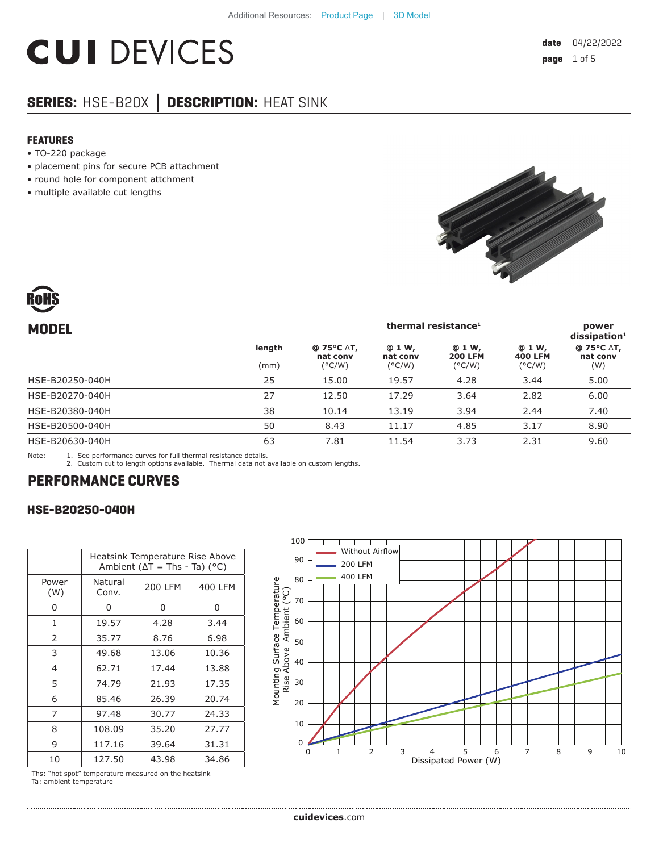# **CUI DEVICES**

# **SERIES:** HSE-B20X **│ DESCRIPTION:** HEAT SINK

#### **FEATURES**

- TO-220 package
- placement pins for secure PCB attachment
- round hole for component attchment
- multiple available cut lengths





| <b>MODEL</b>                        |        | thermal resistance <sup>1</sup><br>power<br>$dis$ sipation <sup>1</sup> |                    |                          |                          |                        |
|-------------------------------------|--------|-------------------------------------------------------------------------|--------------------|--------------------------|--------------------------|------------------------|
|                                     | length | @ 75 $\degree$ C $\triangle$ T,<br>nat conv                             | @ 1 W,<br>nat conv | @ 1 W,<br><b>200 LFM</b> | @ 1 W,<br><b>400 LFM</b> | @ 75°C ∆T,<br>nat conv |
|                                     | (mm)   | $(^{\circ}C/W)$                                                         | $(^{\circ}C/W)$    | $(^{\circ}C/W)$          | $(^{\circ}C/W)$          | (W)                    |
| HSE-B20250-040H                     | 25     | 15.00                                                                   | 19.57              | 4.28                     | 3.44                     | 5.00                   |
| HSE-B20270-040H                     | 27     | 12.50                                                                   | 17.29              | 3.64                     | 2.82                     | 6.00                   |
| HSE-B20380-040H                     | 38     | 10.14                                                                   | 13.19              | 3.94                     | 2.44                     | 7.40                   |
| HSE-B20500-040H                     | 50     | 8.43                                                                    | 11.17              | 4.85                     | 3.17                     | 8.90                   |
| HSE-B20630-040H                     | 63     | 7.81                                                                    | 11.54              | 3.73                     | 2.31                     | 9.60                   |
| $\cdots$ $\cdots$ $\cdots$ $\cdots$ |        |                                                                         |                    |                          |                          |                        |

Note: 1. See performance curves for full thermal resistance details. 2. Custom cut to length options available. Thermal data not available on custom lengths.

## **PERFORMANCE CURVES**

#### **HSE-B20250-040H**

|               | Heatsink Temperature Rise Above<br>Ambient ( $\Delta T$ = Ths - Ta) ( $^{\circ}$ C) |         |         |
|---------------|-------------------------------------------------------------------------------------|---------|---------|
| Power<br>(W)  | Natural<br>Conv.                                                                    | 200 LFM | 400 LFM |
| U             | 0                                                                                   | 0       | 0       |
| $\mathbf{1}$  | 19.57                                                                               | 4.28    | 3.44    |
| $\mathcal{P}$ | 35.77                                                                               | 8.76    | 6.98    |
| 3             | 49.68                                                                               | 13.06   | 10.36   |
| 4             | 62.71                                                                               | 17.44   | 13.88   |
| 5             | 74.79                                                                               | 21.93   | 17.35   |
| 6             | 85.46                                                                               | 26.39   | 20.74   |
| 7             | 97.48                                                                               | 30.77   | 24.33   |
| 8             | 108.09                                                                              | 35.20   | 27.77   |
| 9             | 117.16                                                                              | 39.64   | 31.31   |
| 10            | 127.50                                                                              | 43.98   | 34.86   |

Ths: "hot spot" temperature measured on the heatsink Ta: ambient temperature

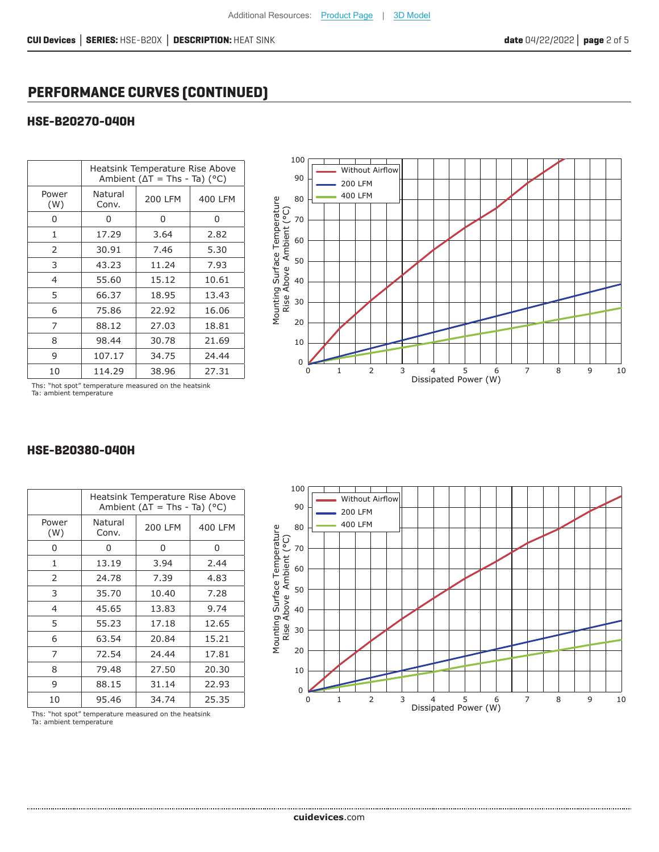# **PERFORMANCE CURVES (CONTINUED)**

## **HSE-B20270-040H**

|              | Heatsink Temperature Rise Above<br>Ambient ( $\Delta T$ = Ths - Ta) (°C) |         |         |
|--------------|--------------------------------------------------------------------------|---------|---------|
| Power<br>(W) | Natural<br>Conv.                                                         | 200 LFM | 400 LFM |
| 0            | 0                                                                        | 0       | 0       |
| 1            | 17.29                                                                    | 3.64    | 2.82    |
| 2            | 30.91                                                                    | 7.46    | 5.30    |
| 3            | 43.23                                                                    | 11.24   | 7.93    |
| 4            | 55.60                                                                    | 15.12   | 10.61   |
| 5            | 66.37                                                                    | 18.95   | 13.43   |
| 6            | 75.86                                                                    | 22.92   | 16.06   |
| 7            | 88.12                                                                    | 27.03   | 18.81   |
| 8            | 98.44                                                                    | 30.78   | 21.69   |
| 9            | 107.17                                                                   | 34.75   | 24.44   |
| 10           | 114.29                                                                   | 38.96   | 27.31   |



Ths: "hot spot" temperature measured on the heatsink Ta: ambient temperature

|                | Heatsink Temperature Rise Above<br>Ambient ( $\Delta T$ = Ths - Ta) (°C) |                |         |
|----------------|--------------------------------------------------------------------------|----------------|---------|
| Power<br>(W)   | Natural<br>Conv.                                                         | <b>200 LFM</b> | 400 LFM |
| ი              | 0                                                                        | 0              | 0       |
| $\mathbf{1}$   | 13.19                                                                    | 3.94           | 2.44    |
| 2              | 24.78                                                                    | 7.39           | 4.83    |
| 3              | 35.70                                                                    | 10.40          | 7.28    |
| $\overline{4}$ | 45.65                                                                    | 13.83          | 9.74    |
| 5              | 55.23                                                                    | 17.18          | 12.65   |
| 6              | 63.54                                                                    | 20.84          | 15.21   |
| 7              | 72.54                                                                    | 24.44          | 17.81   |
| 8              | 79.48                                                                    | 27.50          | 20.30   |
| 9              | 88.15                                                                    | 31.14          | 22.93   |
| 10             | 95.46                                                                    | 34.74          | 25.35   |

#### **HSE-B20380-040H**



Ths: "hot spot" temperature measured on the heatsink Ta: ambient temperature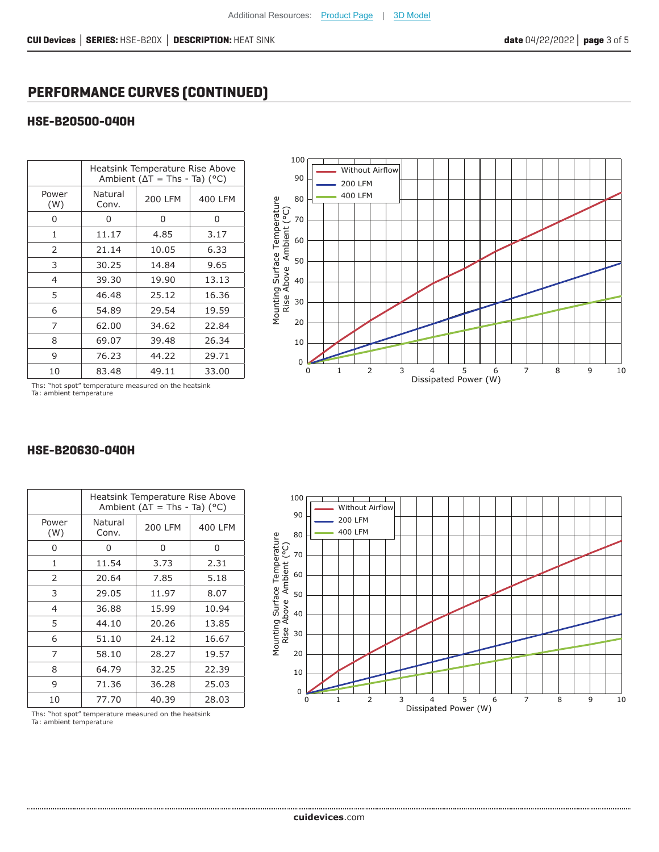# **PERFORMANCE CURVES (CONTINUED)**

## **HSE-B20500-040H**

|                | Heatsink Temperature Rise Above<br>Ambient ( $\Delta T$ = Ths - Ta) (°C) |                |         |
|----------------|--------------------------------------------------------------------------|----------------|---------|
| Power<br>(W)   | Natural<br>Conv.                                                         | <b>200 LFM</b> | 400 LFM |
| 0              | 0                                                                        | 0              | 0       |
| 1              | 11.17                                                                    | 4.85           | 3.17    |
| 2              | 21.14                                                                    | 10.05          | 6.33    |
| 3              | 30.25                                                                    | 14.84          | 9.65    |
| $\overline{4}$ | 39.30                                                                    | 19.90          | 13.13   |
| 5              | 46.48                                                                    | 25.12          | 16.36   |
| 6              | 54.89                                                                    | 29.54          | 19.59   |
| 7              | 62.00                                                                    | 34.62          | 22.84   |
| 8              | 69.07                                                                    | 39.48          | 26.34   |
| 9              | 76.23                                                                    | 44.22          | 29.71   |
| 10             | 83.48                                                                    | 49.11          | 33.00   |



Ths: "hot spot" temperature measured on the heatsink Ta: ambient temperature

|                | Heatsink Temperature Rise Above<br>Ambient ( $\Delta T$ = Ths - Ta) (°C) |         |         |
|----------------|--------------------------------------------------------------------------|---------|---------|
| Power<br>(W)   | Natural<br>Conv.                                                         | 200 LFM | 400 LFM |
| O              | U                                                                        | 0       | 0       |
| $\mathbf{1}$   | 11.54                                                                    | 3.73    | 2.31    |
| 2              | 20.64                                                                    | 7.85    | 5.18    |
| 3              | 29.05                                                                    | 11.97   | 8.07    |
| $\overline{4}$ | 36.88                                                                    | 15.99   | 10.94   |
| 5              | 44.10                                                                    | 20.26   | 13.85   |
| 6              | 51.10                                                                    | 24.12   | 16.67   |
| 7              | 58.10                                                                    | 28.27   | 19.57   |
| 8              | 64.79                                                                    | 32.25   | 22.39   |
| 9              | 71.36                                                                    | 36.28   | 25.03   |
| 10             | 77.70                                                                    | 40.39   | 28.03   |

#### **HSE-B20630-040H**



Ths: "hot spot" temperature measured on the heatsink Ta: ambient temperature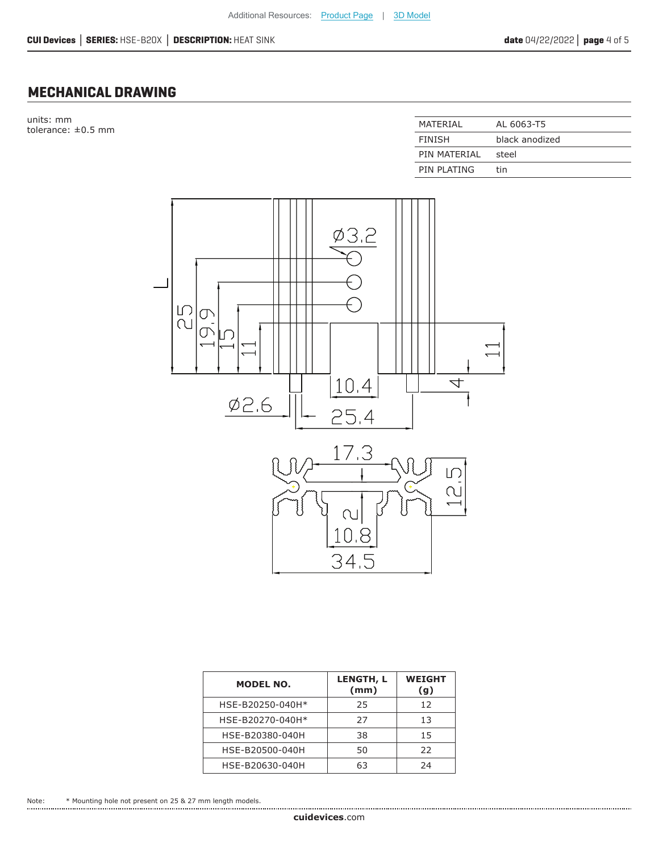## **MECHANICAL DRAWING**

units: mm tolerance:  $\pm 0.5$  mm

| MATFRIAI      | AL 6063-T5     |
|---------------|----------------|
| <b>FINISH</b> | black anodized |
| PIN MATFRIAI  | steel          |
| PIN PLATING   | tin            |



| <b>MODEL NO.</b> | <b>LENGTH, L</b><br>(mm) | <b>WEIGHT</b><br>(g) |
|------------------|--------------------------|----------------------|
| HSE-B20250-040H* | 25                       | 12                   |
| HSE-B20270-040H* | 27                       | 13                   |
| HSE-B20380-040H  | 38                       | 15                   |
| HSE-B20500-040H  | 50                       | 22                   |
| HSE-B20630-040H  | 63                       | 24                   |

Note: \* Mounting hole not present on 25 & 27 mm length models.